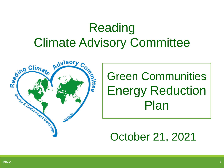# Reading Climate Advisory Committee



# Green Communities Energy Reduction Plan

## October 21, 2021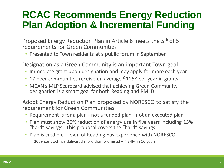## **RCAC Recommends Energy Reduction Plan Adoption & Incremental Funding**

Proposed Energy Reduction Plan in Article 6 meets the 5<sup>th</sup> of 5 requirements for Green Communities

◦ Presented to Town residents at a public forum in September

Designation as a Green Community is an important Town goal

- Immediate grant upon designation and may apply for more each year
- 17 peer communities receive on average \$116K per year in grants
- MCAN's MLP Scorecard advised that achieving Green Community designation is a smart goal for both Reading and RMLD

Adopt Energy Reduction Plan proposed by NORESCO to satisfy the requirement for Green Communities

- Requirement is for a plan not a funded plan not an executed plan
- Plan must show 20% reduction of energy use in five years including 15% "hard" savings. This proposal covers the "hard" savings.
- Plan is credible. Town of Reading has experience with NORESCO.
	- 2009 contract has delivered more than promised ~ \$4M in 10 years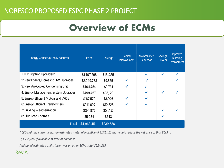### NORESCO PROPOSED ESPC PHASE 2 PROJECT

## **Overview of ECMs**

| <b>Energy Conservation Measures</b>  | Price       | Savings   | Capital<br>Improvement | Maintenance<br>Reduction | <b>Savings</b><br><b>Drivers</b> | Improved<br><b>Learning</b><br><b>Environment</b> |
|--------------------------------------|-------------|-----------|------------------------|--------------------------|----------------------------------|---------------------------------------------------|
| 1: LED Lighting Upgrades*            | \$1,407,298 | \$151,335 |                        |                          | $\checkmark$                     |                                                   |
| 2: New Boilers, Domestic HW Upgrades | \$2,049,788 | \$9,855   | $\checkmark$           | ✓                        | $\blacksquare$                   | √                                                 |
| 3: New Air-Cooled Condensing Unit    | \$404,754   | \$9,731   | $\checkmark$           | $\checkmark$             | $\sim$                           |                                                   |
| 4: Energy Management System Upgrades | \$499,467   | \$35,128  | ۰                      | $\checkmark$             | $\checkmark$                     |                                                   |
| 5: Energy-Efficient Motors and VFDs  | \$187,579   | \$8,206   | $\checkmark$           | $\checkmark$             | ٠                                |                                                   |
| 6: Energy-Efficient Transformers     | \$214,607   | \$10,328  | $\checkmark$           | ✓                        | $\sim$                           |                                                   |
| 7: Building Weatherization           | \$194,876   | \$14,410  | ٠                      |                          | $\checkmark$                     | ✓                                                 |
| 8: Plug Load Controls                | \$5,084     | \$543     | ×                      |                          | $\checkmark$                     |                                                   |
| <b>Total</b>                         | \$4,963,451 | \$239,536 |                        |                          |                                  |                                                   |

*\* LED Lighting currently has an estimated material incentive of \$171,411 that would reduce the net price of that ECM to* 

 *\$1,235,887 if available at time of purchase.* 

*Additional estimated utility incentives on other ECMs total \$224,269*

#### Rev.A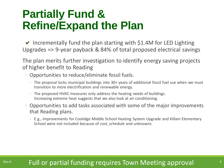## **Partially Fund & Refine/Expand the Plan**

 $\vee$  Incrementally fund the plan starting with \$1.4M for LED Lighting Upgrades => 9-year payback & 84% of total proposed electrical savings

The plan merits further investigation to identify energy saving projects of higher benefit to Reading

- Opportunities to reduce/eliminate fossil fuels.
	- The proposal locks municipal buildings into 30+ years of additional fossil fuel use when we must transition to more electrification and renewable energy.
	- The proposed HVAC measures only address the heating needs of buildings. Increasing extreme heat suggests that we also look at air conditioning.
- Opportunities to add tasks associated with some of the major improvements that Reading plans.
	- E.g., improvements for Coolidge Middle School Heating System Upgrade and Killam Elementary School were not included because of cost, schedule and unknowns

## Rev.A **Full or partial funding requires Town Meeting approval Adda**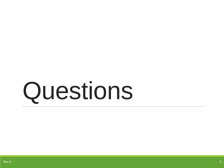# Questions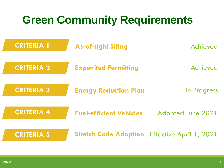| <b>Green Community Requirements</b> |                                |                          |  |  |
|-------------------------------------|--------------------------------|--------------------------|--|--|
| <b>CRITERIA 1</b>                   | <b>As-of-right Siting</b>      | Achieved                 |  |  |
| <b>CRITERIA 2</b>                   | <b>Expedited Permitting</b>    | Achieved                 |  |  |
| <b>CRITERIA 3</b>                   | <b>Energy Reduction Plan</b>   | In Progress              |  |  |
| <b>CRITERIA 4</b>                   | <b>Fuel-efficient Vehicles</b> | <b>Adopted June 2021</b> |  |  |
| <b>CRITERIA 5</b>                   | <b>Stretch Code Adoption</b>   | Effective April 1, 2021  |  |  |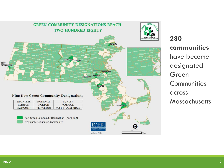

**280 communities**  have become designated Green **Communities** across **Massachusetts**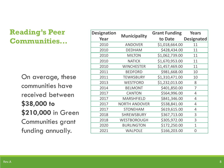## **Reading's Peer Communities...**

On average, these communities have received between **\$38,000 to \$210,000** in Green Communities grant funding annually.

| <b>Designation</b> |                      | <b>Grant Funding</b> | <b>Years</b>      |  |
|--------------------|----------------------|----------------------|-------------------|--|
| Year               | <b>Municipality</b>  | to Date              | <b>Designated</b> |  |
| 2010               | <b>ANDOVER</b>       | \$1,018,664.00       | 11                |  |
| 2010               | <b>DEDHAM</b>        | \$428,434.00         | 11                |  |
| 2010               | <b>MILTON</b>        | \$1,062,739.00       | 11                |  |
| 2010               | <b>NATICK</b>        | \$1,670,953.00       | 11                |  |
| 2010               | <b>WINCHESTER</b>    | \$1,457,469.00       | 11                |  |
| 2011               | <b>BEDFORD</b>       | \$981,668.00         | 10                |  |
| 2011               | <b>TEWKSBURY</b>     | \$1,310,471.00       | 10                |  |
| 2013               | <b>WESTFORD</b>      | \$1,232,013.00       | 8                 |  |
| 2014               | <b>BELMONT</b>       | \$401,850.00         | 7                 |  |
| 2017               | <b>CANTON</b>        | \$564,996.00         | 4                 |  |
| 2017               | <b>MARSHFIELD</b>    | \$841,346.00         | 4                 |  |
| 2017               | <b>NORTH ANDOVER</b> | \$538,841.00         | 4                 |  |
| 2017               | <b>STONEHAM</b>      | \$619,615.00         | 4                 |  |
| 2018               | <b>SHREWSBURY</b>    | \$367,713.00         | 3                 |  |
| 2018               | <b>WESTBOROUGH</b>   | \$305,972.00         | 3                 |  |
| 2020               | <b>BURLINGTON</b>    | \$172,250.00         | $\mathbf{1}$      |  |
| 2021               | <b>WALPOLE</b>       | \$166,203.00         | 0                 |  |